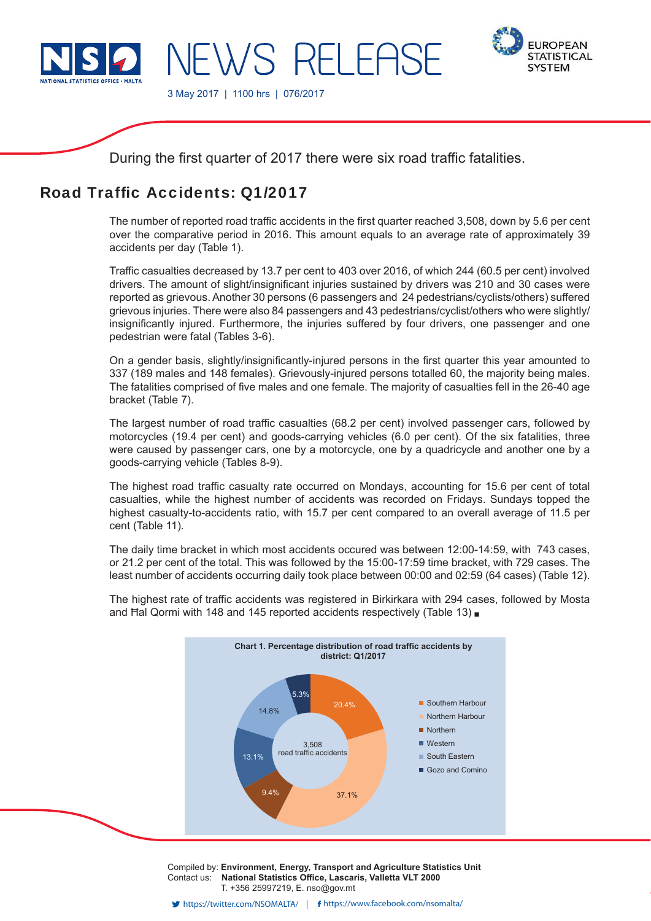

3 May 2017 | 1100 hrs | 076/2017



During the first quarter of 2017 there were six road traffic fatalities.

WS RFI FASE

# Road Traffic Accidents: 01/2017

The number of reported road traffic accidents in the first quarter reached 3,508, down by 5.6 per cent over the comparative period in 2016. This amount equals to an average rate of approximately 39 accidents per day (Table 1).

Traffic casualties decreased by 13.7 per cent to 403 over 2016, of which 244 (60.5 per cent) involved drivers. The amount of slight/insignificant injuries sustained by drivers was 210 and 30 cases were reported as grievous. Another 30 persons (6 passengers and 24 pedestrians/cyclists/others) suffered grievous injuries. There were also 84 passengers and 43 pedestrians/cyclist/others who were slightly/ insignificantly injured. Furthermore, the injuries suffered by four drivers, one passenger and one pedestrian were fatal (Tables 3-6).

On a gender basis, slightly/insignificantly-injured persons in the first quarter this year amounted to 337 (189 males and 148 females). Grievously-injured persons totalled 60, the majority being males. The fatalities comprised of five males and one female. The majority of casualties fell in the 26-40 age bracket (Table 7).

The largest number of road traffic casualties (68.2 per cent) involved passenger cars, followed by motorcycles (19.4 per cent) and goods-carrying vehicles (6.0 per cent). Of the six fatalities, three were caused by passenger cars, one by a motorcycle, one by a quadricycle and another one by a goods-carrying vehicle (Tables 8-9).

The highest road traffic casualty rate occurred on Mondays, accounting for 15.6 per cent of total casualties, while the highest number of accidents was recorded on Fridays. Sundays topped the highest casualty-to-accidents ratio, with 15.7 per cent compared to an overall average of 11.5 per cent (Table 11).

The daily time bracket in which most accidents occured was between 12:00-14:59, with 743 cases, or 21.2 per cent of the total. This was followed by the 15:00-17:59 time bracket, with 729 cases. The least number of accidents occurring daily took place between 00:00 and 02:59 (64 cases) (Table 12).



The highest rate of traffic accidents was registered in Birkirkara with 294 cases, followed by Mosta and Hal Qormi with 148 and 145 reported accidents respectively (Table 13)

> Compiled by: **Environment, Energy, Transport and Agriculture Statistics Unit** Contact us: **National Statistics Office, Lascaris, Valletta VLT 2000** T. +356 25997219, E. nso@gov.mt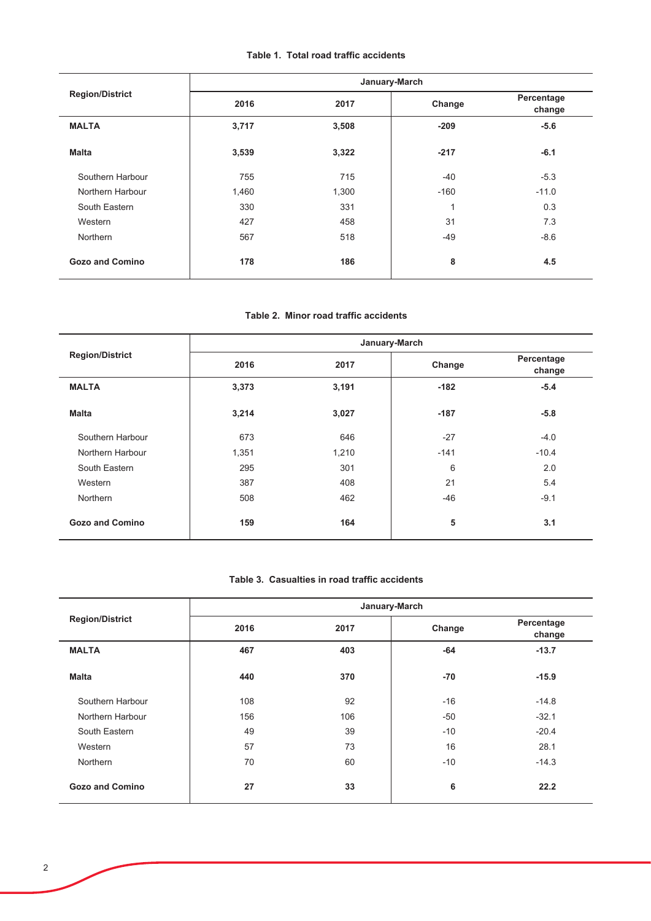# Table 1. Total road traffic accidents

|                        |       | January-March |        |                      |
|------------------------|-------|---------------|--------|----------------------|
| <b>Region/District</b> | 2016  | 2017          | Change | Percentage<br>change |
| <b>MALTA</b>           | 3,717 | 3,508         | $-209$ | $-5.6$               |
| <b>Malta</b>           | 3,539 | 3,322         | $-217$ | $-6.1$               |
| Southern Harbour       | 755   | 715           | $-40$  | $-5.3$               |
| Northern Harbour       | 1,460 | 1,300         | $-160$ | $-11.0$              |
| South Eastern          | 330   | 331           | 1      | 0.3                  |
| Western                | 427   | 458           | 31     | 7.3                  |
| Northern               | 567   | 518           | $-49$  | $-8.6$               |
| <b>Gozo and Comino</b> | 178   | 186           | 8      | 4.5                  |

#### Table 2. Minor road traffic accidents

|                        |       | January-March |        |                      |
|------------------------|-------|---------------|--------|----------------------|
| <b>Region/District</b> | 2016  | 2017          | Change | Percentage<br>change |
| <b>MALTA</b>           | 3,373 | 3,191         | $-182$ | $-5.4$               |
| <b>Malta</b>           | 3,214 | 3,027         | $-187$ | $-5.8$               |
| Southern Harbour       | 673   | 646           | $-27$  | $-4.0$               |
| Northern Harbour       | 1,351 | 1,210         | $-141$ | $-10.4$              |
| South Eastern          | 295   | 301           | 6      | 2.0                  |
| Western                | 387   | 408           | 21     | 5.4                  |
| Northern               | 508   | 462           | $-46$  | $-9.1$               |
| <b>Gozo and Comino</b> | 159   | 164           | 5      | 3.1                  |

### Table 3. Casualties in road traffic accidents

|                        |      | January-March |        |                      |
|------------------------|------|---------------|--------|----------------------|
| <b>Region/District</b> | 2016 | 2017          | Change | Percentage<br>change |
| <b>MALTA</b>           | 467  | 403           | $-64$  | $-13.7$              |
| <b>Malta</b>           | 440  | 370           | $-70$  | $-15.9$              |
| Southern Harbour       | 108  | 92            | $-16$  | $-14.8$              |
| Northern Harbour       | 156  | 106           | $-50$  | $-32.1$              |
| South Eastern          | 49   | 39            | $-10$  | $-20.4$              |
| Western                | 57   | 73            | 16     | 28.1                 |
| Northern               | 70   | 60            | $-10$  | $-14.3$              |
| <b>Gozo and Comino</b> | 27   | 33            | 6      | 22.2                 |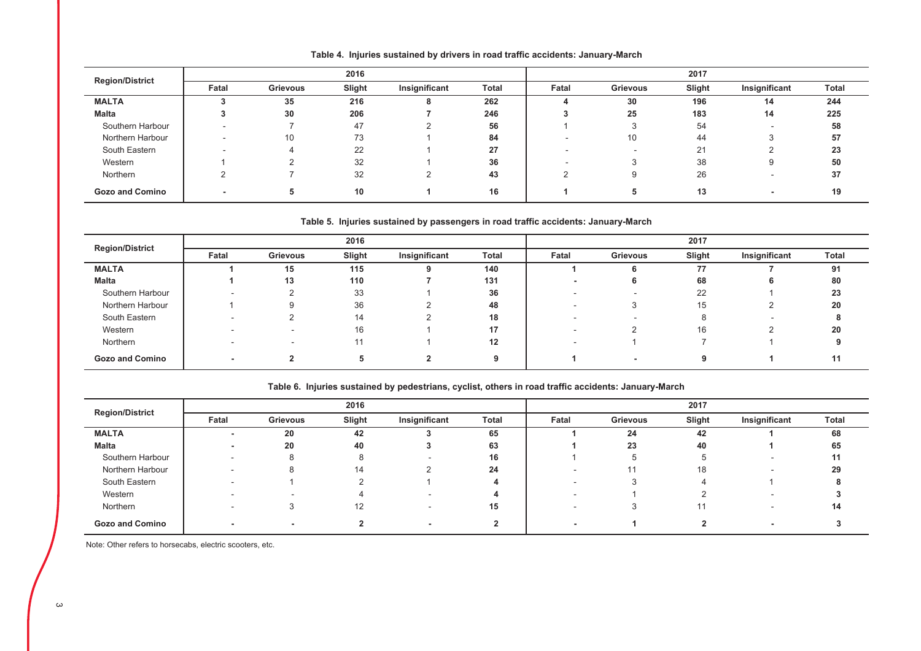| <b>Region/District</b> |                          |                 | 2016   |               |              | 2017  |                 |        |               |       |
|------------------------|--------------------------|-----------------|--------|---------------|--------------|-------|-----------------|--------|---------------|-------|
|                        | Fatal                    | <b>Grievous</b> | Slight | Insignificant | <b>Total</b> | Fatal | <b>Grievous</b> | Slight | Insignificant | Total |
| <b>MALTA</b>           |                          | 35              | 216    |               | 262          |       | 30              | 196    | 14            | 244   |
| Malta                  |                          | 30              | 206    |               | 246          |       | 25              | 183    | 14            | 225   |
| Southern Harbour       | -                        |                 | 47     |               | 56           |       |                 | 54     |               | 58    |
| Northern Harbour       | -                        | 10              | 73     |               | 84           |       | 10              | 44     |               | 57    |
| South Eastern          | $\overline{\phantom{a}}$ |                 | 22     |               | 27           |       |                 | 21     |               | 23    |
| Western                |                          |                 | 32     |               | 36           |       |                 | 38     | 9             | 50    |
| Northern               |                          |                 | 32     |               | 43           |       |                 | 26     |               | 37    |
| <b>Gozo and Comino</b> |                          |                 | 10     |               | 16           |       | Ð               | 13     |               | 19    |

Table 4. Injuries sustained by drivers in road traffic accidents: January-March

Table 5. Injuries sustained by passengers in road traffic accidents: January-March

| <b>Region/District</b> |       |                 |        |               | 2017    |       |          |        |               |       |
|------------------------|-------|-----------------|--------|---------------|---------|-------|----------|--------|---------------|-------|
|                        | Fatal | <b>Grievous</b> | Slight | Insignificant | Total   | Fatal | Grievous | Slight | Insignificant | Total |
| <b>MALTA</b>           |       | 15              | 115    |               | 140     |       |          | 77     |               | 91    |
| <b>Malta</b>           |       | 13              | 110    |               | 131     |       |          | 68     |               | 80    |
| Southern Harbour       |       |                 | 33     |               | 36      |       |          | 22     |               | 23    |
| Northern Harbour       |       | 9               | 36     |               | 48      |       |          | 15     |               | 20    |
| South Eastern          |       |                 | 14     |               | 18      |       |          |        |               |       |
| Western                |       |                 | 16     |               |         |       |          | 16     |               | 20    |
| Northern               |       |                 |        |               | $12 \,$ |       |          |        |               |       |
| <b>Gozo and Comino</b> |       |                 |        |               |         |       |          |        |               |       |

### Table 6. Injuries sustained by pedestrians, cyclist, others in road traffic accidents: January-March

| <b>Region/District</b> |       |          |        |               | 2017  |       |          |        |                          |              |
|------------------------|-------|----------|--------|---------------|-------|-------|----------|--------|--------------------------|--------------|
|                        | Fatal | Grievous | Slight | Insignificant | Total | Fatal | Grievous | Slight | Insignificant            | <b>Total</b> |
| <b>MALTA</b>           |       | 20       | 42     |               | 65    |       | 24       | 42     |                          | 68           |
| <b>Malta</b>           |       | 20       | 40     |               | 63    |       | 23       | 40     |                          | 65           |
| Southern Harbour       |       | 8        |        |               | 16    |       |          |        | $\overline{\phantom{0}}$ |              |
| Northern Harbour       | -     |          | 14     |               | 24    |       |          | 18     | $\overline{\phantom{a}}$ | 29           |
| South Eastern          |       |          |        |               |       |       |          |        |                          |              |
| Western                |       |          |        |               |       |       |          |        | $\overline{\phantom{a}}$ |              |
| Northern               |       |          | 12.    |               | 15    |       |          |        |                          | 14           |
| <b>Gozo and Comino</b> |       |          |        |               |       |       |          |        |                          |              |

Note: Other refers to horsecabs, electric scooters, etc.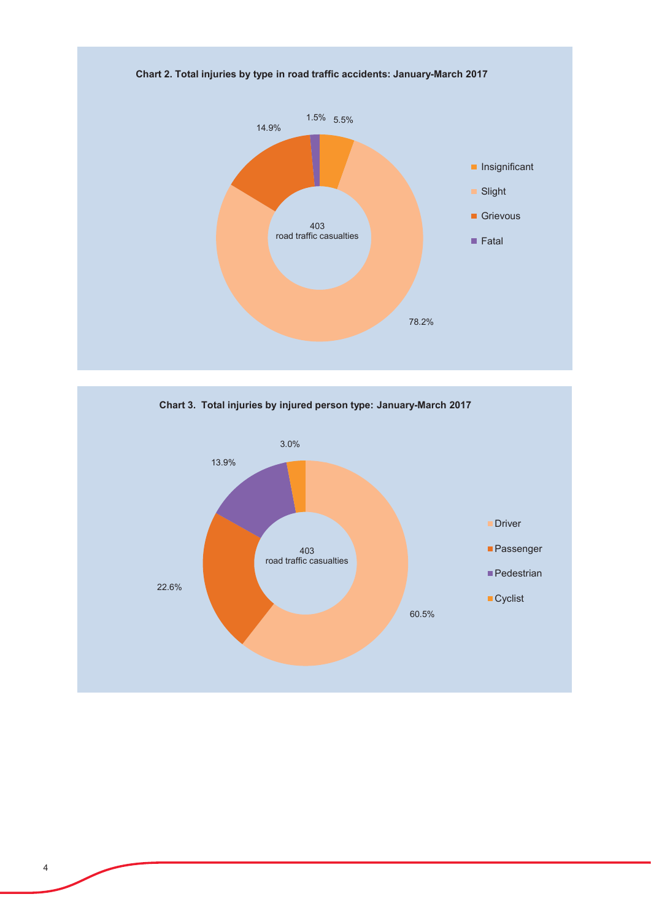



Chart 2. Total injuries by type in road traffic accidents: January-March 2017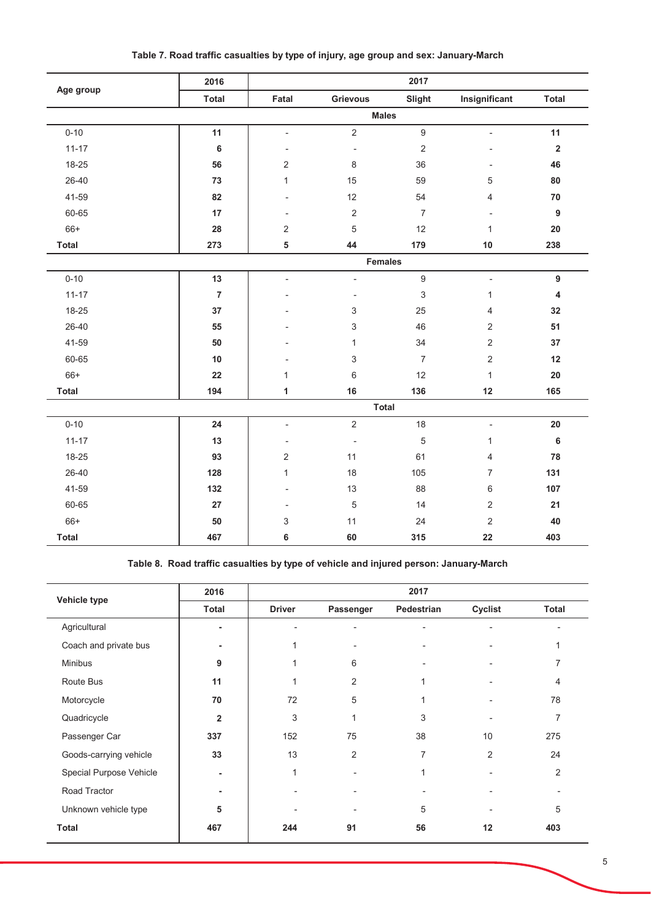|              | 2016           |                          |                          | 2017             |                          |                |
|--------------|----------------|--------------------------|--------------------------|------------------|--------------------------|----------------|
| Age group    | <b>Total</b>   | Fatal                    | Grievous                 | Slight           | Insignificant            | <b>Total</b>   |
|              |                |                          | <b>Males</b>             |                  |                          |                |
| $0 - 10$     | 11             | $\overline{\phantom{a}}$ | $\sqrt{2}$               | $\boldsymbol{9}$ | $\overline{a}$           | 11             |
| $11 - 17$    | 6              |                          | $\overline{\phantom{a}}$ | $\sqrt{2}$       |                          | $\mathbf 2$    |
| 18-25        | 56             | $\overline{2}$           | 8                        | 36               |                          | 46             |
| $26 - 40$    | 73             | $\mathbf{1}$             | 15                       | 59               | 5                        | 80             |
| 41-59        | 82             |                          | 12                       | 54               | 4                        | 70             |
| 60-65        | 17             |                          | $\sqrt{2}$               | $\overline{7}$   |                          | $\overline{9}$ |
| $66+$        | 28             | $\overline{2}$           | $\sqrt{5}$               | 12               | 1                        | 20             |
| <b>Total</b> | 273            | 5                        | 44                       | 179              | 10                       | 238            |
|              |                |                          | <b>Females</b>           |                  |                          |                |
| $0 - 10$     | 13             | $\overline{a}$           | $\overline{\phantom{a}}$ | $\boldsymbol{9}$ | $\overline{\phantom{a}}$ | 9              |
| $11 - 17$    | $\overline{7}$ |                          |                          | $\sqrt{3}$       | 1                        | 4              |
| 18-25        | $37\,$         |                          | 3                        | 25               | 4                        | 32             |
| 26-40        | 55             |                          | 3                        | 46               | 2                        | 51             |
| 41-59        | 50             |                          | 1                        | 34               | 2                        | 37             |
| 60-65        | 10             |                          | 3                        | $\overline{7}$   | $\overline{2}$           | 12             |
| $66+$        | 22             | 1                        | $\,6\,$                  | 12               | 1                        | 20             |
| <b>Total</b> | 194            | 1                        | 16                       | 136              | 12                       | 165            |
|              |                |                          | <b>Total</b>             |                  |                          |                |
| $0 - 10$     | 24             | $\overline{\phantom{a}}$ | $\sqrt{2}$               | 18               | $\overline{a}$           | 20             |
| $11 - 17$    | 13             | $\overline{a}$           | $\overline{\phantom{a}}$ | $\sqrt{5}$       | $\mathbf{1}$             | $\bf 6$        |
| 18-25        | 93             | $\overline{2}$           | 11                       | 61               | 4                        | 78             |
| 26-40        | 128            | $\mathbf{1}$             | 18                       | 105              | $\overline{7}$           | 131            |
| 41-59        | 132            |                          | 13                       | 88               | 6                        | 107            |
| 60-65        | 27             |                          | $\sqrt{5}$               | 14               | $\overline{2}$           | 21             |
| $66+$        | 50             | 3                        | 11                       | 24               | $\sqrt{2}$               | 40             |
| <b>Total</b> | 467            | 6                        | 60                       | 315              | 22                       | 403            |

Table 7. Road traffic casualties by type of injury, age group and sex: January-March

Table 8. Road traffic casualties by type of vehicle and injured person: January-March

|                         | 2016                    |               |                | 2017       |                          |                |
|-------------------------|-------------------------|---------------|----------------|------------|--------------------------|----------------|
| Vehicle type            | <b>Total</b>            | <b>Driver</b> | Passenger      | Pedestrian | Cyclist                  | <b>Total</b>   |
| Agricultural            | ٠                       |               |                |            |                          |                |
| Coach and private bus   | ٠                       |               |                |            |                          |                |
| <b>Minibus</b>          | 9                       |               | 6              |            | ٠                        | 7              |
| Route Bus               | 11                      |               | $\overline{2}$ |            |                          | 4              |
| Motorcycle              | 70                      | 72            | 5              |            | $\overline{\phantom{a}}$ | 78             |
| Quadricycle             | $\overline{\mathbf{2}}$ | 3             | $\mathbf{1}$   | 3          |                          | 7              |
| Passenger Car           | 337                     | 152           | 75             | 38         | 10                       | 275            |
| Goods-carrying vehicle  | 33                      | 13            | $\overline{2}$ | 7          | 2                        | 24             |
| Special Purpose Vehicle | ۰                       | 1             |                | 1          | $\overline{a}$           | $\overline{2}$ |
| Road Tractor            |                         |               |                |            |                          |                |
| Unknown vehicle type    | 5                       |               |                | 5          |                          | 5              |
| <b>Total</b>            | 467                     | 244           | 91             | 56         | 12                       | 403            |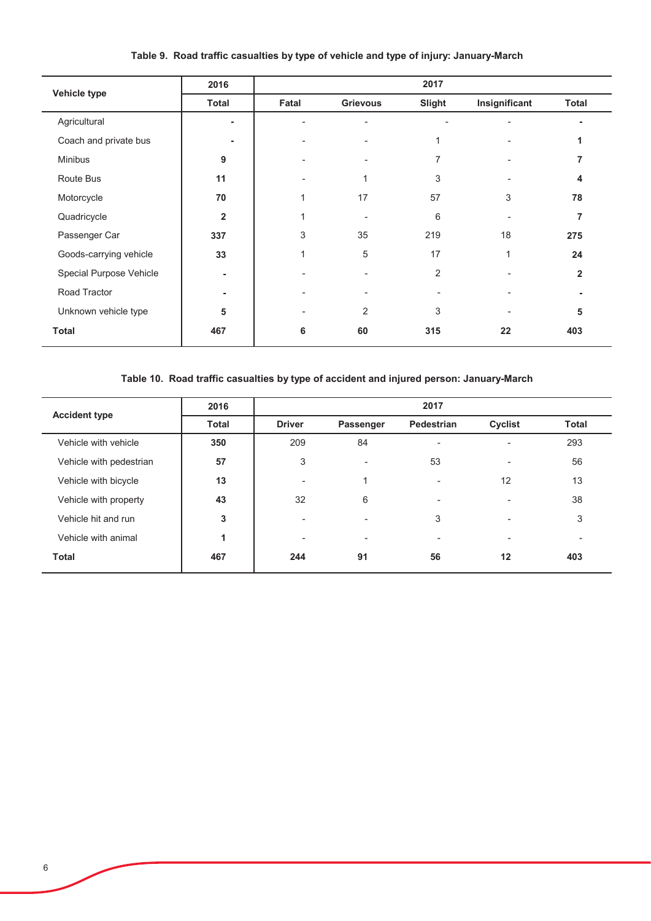|                         | 2016                    |       |          | 2017   |               |                |
|-------------------------|-------------------------|-------|----------|--------|---------------|----------------|
| Vehicle type            | <b>Total</b>            | Fatal | Grievous | Slight | Insignificant | <b>Total</b>   |
| Agricultural            |                         |       |          |        |               |                |
| Coach and private bus   |                         |       |          |        |               |                |
| <b>Minibus</b>          | 9                       |       |          | 7      |               | 7              |
| Route Bus               | 11                      |       |          | 3      |               | 4              |
| Motorcycle              | 70                      | 1     | 17       | 57     | 3             | 78             |
| Quadricycle             | $\overline{\mathbf{2}}$ |       |          | 6      |               | 7              |
| Passenger Car           | 337                     | 3     | 35       | 219    | 18            | 275            |
| Goods-carrying vehicle  | 33                      | 1     | 5        | 17     | 1             | 24             |
| Special Purpose Vehicle |                         |       |          | 2      |               | $\overline{2}$ |
| Road Tractor            |                         |       |          |        |               |                |
| Unknown vehicle type    | 5                       |       | 2        | 3      |               | 5              |
| <b>Total</b>            | 467                     | 6     | 60       | 315    | 22            | 403            |

# Table 9. Road traffic casualties by type of vehicle and type of injury: January-March

# Table 10. Road traffic casualties by type of accident and injured person: January-March

| <b>Accident type</b>    | 2016         |               |                          | 2017       |         |                          |
|-------------------------|--------------|---------------|--------------------------|------------|---------|--------------------------|
|                         | <b>Total</b> | <b>Driver</b> | Passenger                | Pedestrian | Cyclist | <b>Total</b>             |
| Vehicle with vehicle    | 350          | 209           | 84                       | -          |         | 293                      |
| Vehicle with pedestrian | 57           | 3             | $\overline{\phantom{a}}$ | 53         |         | 56                       |
| Vehicle with bicycle    | 13           | ۰             | и                        |            | 12      | 13                       |
| Vehicle with property   | 43           | 32            | 6                        | -          |         | 38                       |
| Vehicle hit and run     | 3            | ۰             | $\overline{\phantom{0}}$ | 3          |         | 3                        |
| Vehicle with animal     |              | ۰             | ۰                        |            |         | $\overline{\phantom{a}}$ |
| <b>Total</b>            | 467          | 244           | 91                       | 56         | 12      | 403                      |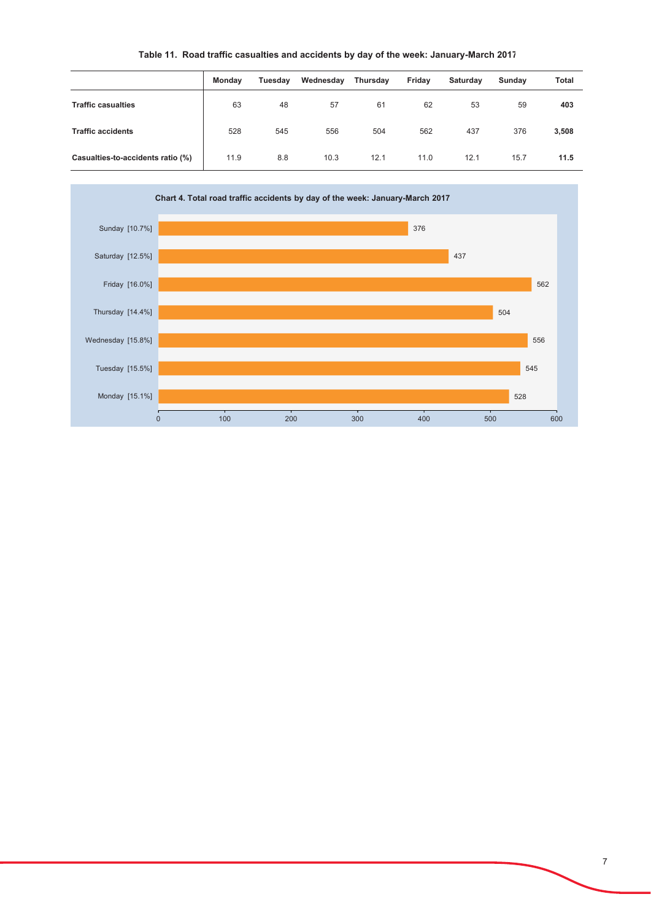# Table 11. Road traffic casualties and accidents by day of the week: January-March 2017

|                                   | <b>Monday</b> | Tuesday | Wednesday | Thursday | Friday | Saturday | Sunday | <b>Total</b> |
|-----------------------------------|---------------|---------|-----------|----------|--------|----------|--------|--------------|
| <b>Traffic casualties</b>         | 63            | 48      | 57        | 61       | 62     | 53       | 59     | 403          |
| <b>Traffic accidents</b>          | 528           | 545     | 556       | 504      | 562    | 437      | 376    | 3,508        |
| Casualties-to-accidents ratio (%) | 11.9          | 8.8     | 10.3      | 12.1     | 11.0   | 12.1     | 15.7   | 11.5         |

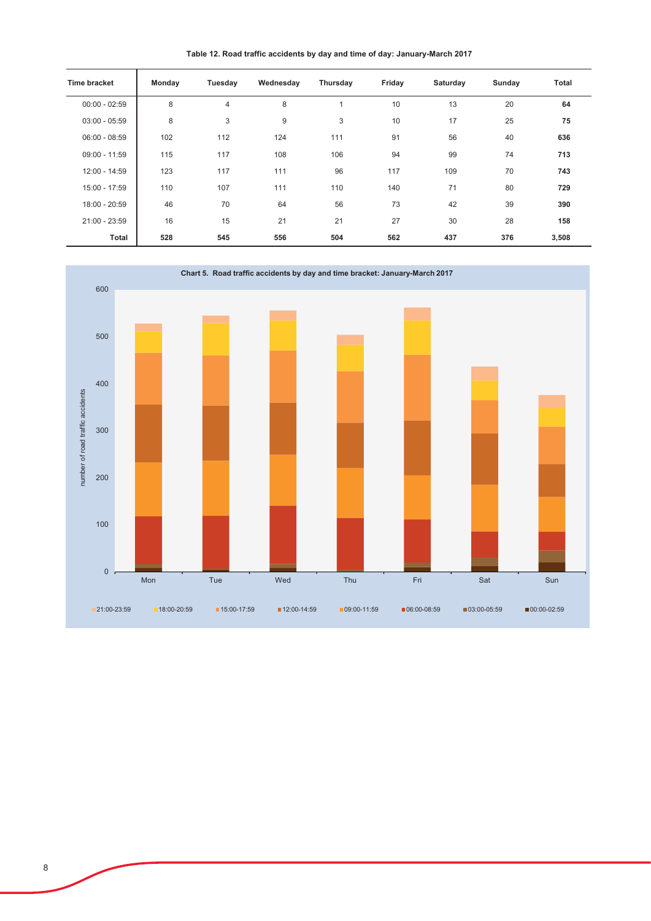Table 12. Road traffic accidents by day and time of day: January-March 2017

| <b>Time bracket</b> | Monday | Tuesday        | Wednesday | Thursday       | Friday | Saturday | Sunday | <b>Total</b> |
|---------------------|--------|----------------|-----------|----------------|--------|----------|--------|--------------|
| $00:00 - 02:59$     | 8      | $\overline{4}$ | 8         | $\overline{ }$ | 10     | 13       | 20     | 64           |
| $03:00 - 05:59$     | 8      | 3              | 9         | 3              | 10     | 17       | 25     | 75           |
| $06:00 - 08:59$     | 102    | 112            | 124       | 111            | 91     | 56       | 40     | 636          |
| $09:00 - 11:59$     | 115    | 117            | 108       | 106            | 94     | 99       | 74     | 713          |
| 12:00 - 14:59       | 123    | 117            | 111       | 96             | 117    | 109      | 70     | 743          |
| 15:00 - 17:59       | 110    | 107            | 111       | 110            | 140    | 71       | 80     | 729          |
| 18:00 - 20:59       | 46     | 70             | 64        | 56             | 73     | 42       | 39     | 390          |
| $21:00 - 23:59$     | 16     | 15             | 21        | 21             | 27     | 30       | 28     | 158          |
| Total               | 528    | 545            | 556       | 504            | 562    | 437      | 376    | 3,508        |

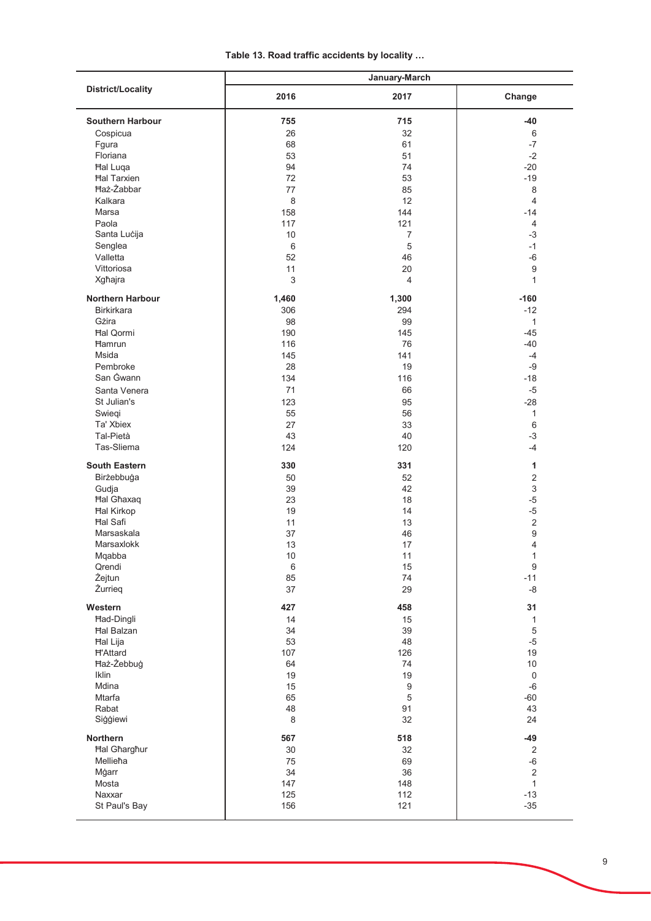| <b>District/Locality</b> | January-March   |                  |                     |  |
|--------------------------|-----------------|------------------|---------------------|--|
|                          | 2016            | 2017             | Change              |  |
| <b>Southern Harbour</b>  | 755             | 715              | $-40$               |  |
| Cospicua                 | 26              | 32               | $\,6\,$             |  |
| Fgura                    | 68              | 61               | $-7$                |  |
| Floriana                 | 53              | 51               | $-2$                |  |
| <b>Hal Luqa</b>          | 94              | 74               | $-20$               |  |
| <b>Hal Tarxien</b>       | 72              | 53               | $-19$               |  |
| <b>Haż-Żabbar</b>        | 77              | 85               | 8                   |  |
| Kalkara                  | 8               | 12               | $\overline{4}$      |  |
| Marsa                    | 158             | 144              | $-14$               |  |
| Paola                    | 117             | 121              | 4                   |  |
| Santa Lucija             | 10              | $\overline{7}$   | $-3$                |  |
| Senglea                  | $6\phantom{1}6$ | 5                | $-1$                |  |
| Valletta                 | 52              | 46               | $-6$                |  |
| Vittoriosa               | 11              | 20               | 9                   |  |
| Xgħajra                  | 3               | 4                | $\mathbf{1}$        |  |
| Northern Harbour         | 1,460           | 1,300            | $-160$              |  |
| <b>Birkirkara</b>        | 306             | 294              | $-12$               |  |
| Gżira                    | 98              | 99               | $\mathbf{1}$        |  |
| <b>Hal Qormi</b>         | 190             | 145              | $-45$               |  |
| <b>Hamrun</b>            | 116             | 76               | $-40$               |  |
| Msida                    | 145             | 141              | $-4$                |  |
| Pembroke                 | 28              | 19               | $-9$                |  |
| San Gwann                | 134             | 116              | $-18$               |  |
| Santa Venera             | 71              | 66               | $-5$                |  |
| St Julian's              | 123             | 95               | $-28$               |  |
| Swieqi                   | 55              | 56               | 1                   |  |
| Ta' Xbiex                | 27              | 33               | 6                   |  |
| Tal-Pietà                | 43              | 40               | $-3$                |  |
| Tas-Sliema               | 124             | 120              | $-4$                |  |
| <b>South Eastern</b>     | 330             | 331              | 1                   |  |
| Birżebbuġa               | 50              | 52               | $\sqrt{2}$          |  |
| Gudja                    | 39              | 42               | $\sqrt{3}$          |  |
| <b>Hal Ghaxaq</b>        | 23              | 18               | $-5$                |  |
| <b>Hal Kirkop</b>        | 19              | 14               | $-5$                |  |
| <b>Hal Safi</b>          | 11              | 13               | $\sqrt{2}$          |  |
| Marsaskala               | 37              | 46               | 9                   |  |
| Marsaxlokk               | 13              | 17               | 4                   |  |
| Mqabba                   | $10$            | 11               | 1                   |  |
| Qrendi                   | $\,6\,$         | 15               | $\boldsymbol{9}$    |  |
| Żejtun                   | 85              | 74               | $-11$               |  |
| Żurrieg                  | 37              | 29               | -8                  |  |
| Western                  | 427             | 458              | 31                  |  |
| <b>Had-Dingli</b>        | 14              | 15               | $\mathbf{1}$        |  |
| <b>Hal Balzan</b>        | 34              | 39               | $\,$ 5 $\,$         |  |
| Hal Lija                 | 53              | 48               | $-5$                |  |
| <b>H'Attard</b>          | 107             | 126              | 19                  |  |
| Haż-Żebbuġ               | 64              | 74               | $10\,$              |  |
| Iklin                    | 19              | 19               | $\mathsf{O}\xspace$ |  |
| Mdina                    | 15              | $\boldsymbol{9}$ | $-6$                |  |
| Mtarfa                   | 65              | $\mathbf 5$      | $-60$               |  |
| Rabat                    | 48              | 91               | 43                  |  |
| Siģģiewi                 | 8               | 32               | 24                  |  |
| Northern                 | 567             | 518              | $-49$               |  |
| <b>Hal Gharghur</b>      | 30              | 32               | $\sqrt{2}$          |  |
| Mellieħa                 | 75              | 69               | $-6$                |  |
| Mġarr                    | 34              | 36               | $\mathbf 2$         |  |
| Mosta                    | 147             | 148              | $\mathbf{1}$        |  |
| Naxxar                   | 125             | 112              | $-13$               |  |
| St Paul's Bay            | 156             | 121              | $-35$               |  |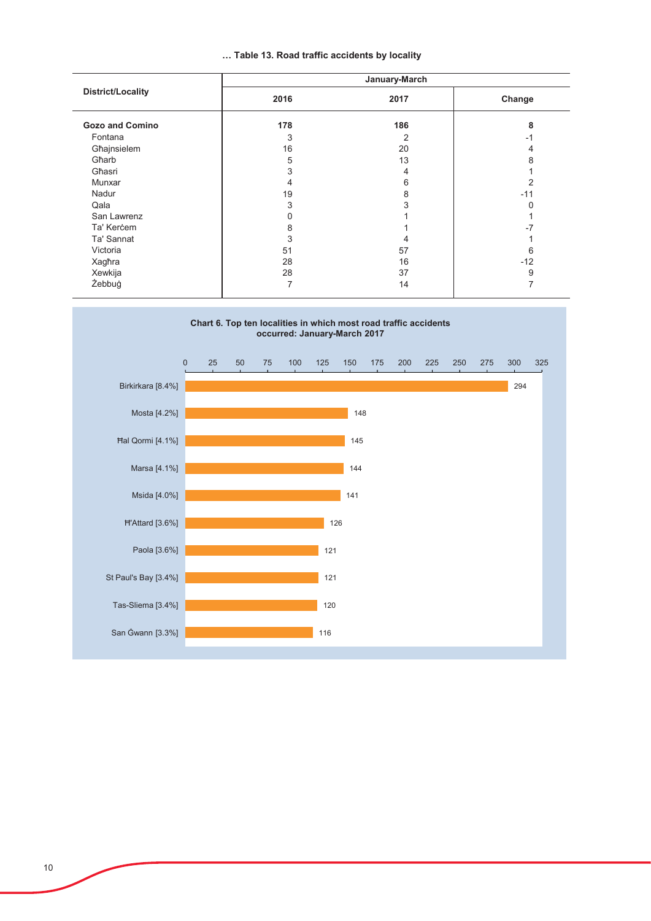# ... Table 13. Road traffic accidents by locality

| <b>District/Locality</b> | January-March |      |                |
|--------------------------|---------------|------|----------------|
|                          | 2016          | 2017 | Change         |
| <b>Gozo and Comino</b>   | 178           | 186  | 8              |
| Fontana                  | 3             | 2    | -1             |
| Għajnsielem              | 16            | 20   |                |
| Gharb                    | 5             | 13   | 8              |
| Għasri                   | 3             | 4    |                |
| Munxar                   | 4             | 6    | $\mathfrak{p}$ |
| Nadur                    | 19            | 8    | $-11$          |
| Qala                     | 3             | 3    |                |
| San Lawrenz              | 0             |      |                |
| Ta' Kercem               | 8             |      | $-7$           |
| Ta' Sannat               | 3             | 4    |                |
| Victoria                 | 51            | 57   | 6              |
| Xagħra                   | 28            | 16   | $-12$          |
| Xewkija                  | 28            | 37   | 9              |
| Żebbuġ                   | 7             | 14   |                |

# Chart 6. Top ten localities in which most road traffic accidents<br>occurred: January-March 2017